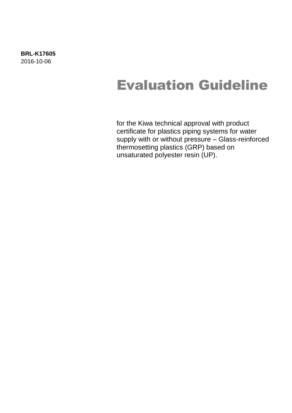# Evaluation Guideline

for the Kiwa technical approval with product certificate for plastics piping systems for water supply with or without pressure – Glass-reinforced thermosetting plastics (GRP) based on unsaturated polyester resin (UP).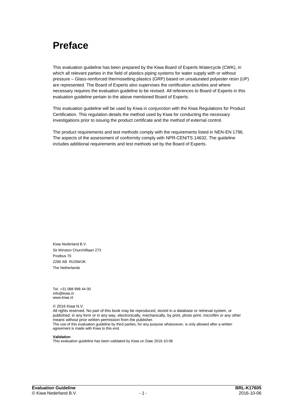## **Preface**

This evaluation guideline has been prepared by the Kiwa Board of Experts Watercycle (CWK), in which all relevant parties in the field of plastics piping systems for water supply with or without pressure – Glass-reinforced thermosetting plastics (GRP) based on unsaturated polyester resin (UP) are represented. The Board of Experts also supervises the certification activities and where necessary requires the evaluation guideline to be revised. All references to Board of Experts in this evaluation guideline pertain to the above mentioned Board of Experts.

This evaluation guideline will be used by Kiwa in conjunction with the Kiwa Regulations for Product Certification. This regulation details the method used by Kiwa for conducting the necessary investigations prior to issuing the product certificate and the method of external control.

The product requirements and test methods comply with the requirements listed in NEN-EN 1796. The aspects of the assessment of conformity comply with NPR-CEN/TS 14632. The guideline includes additional requirements and test methods set by the Board of Experts.

Kiwa Nederland B.V. Sir Winston Churchilllaan 273 Postbus 70 2280 AB RIJSWIJK The Netherlands

Tel. +31 088 998 44 00 info@kiwa.nl www.kiwa.nl

© 2016 Kiwa N.V.

All rights reserved. No part of this book may be reproduced, stored in a database or retrieval system, or published, in any form or in any way, electronically, mechanically, by print, photo print, microfilm or any other means without prior written permission from the publisher. The use of this evaluation guideline by third parties, for any purpose whatsoever, is only allowed after a written agreement is made with Kiwa to this end.

#### **Validation**

This evaluation guideline has been validated by Kiwa on Date 2016-10-06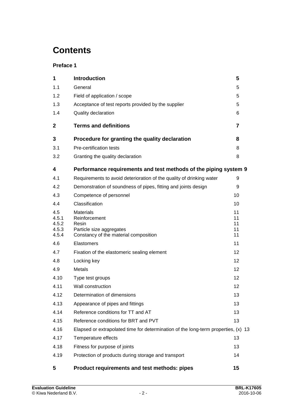## **Contents**

## **Preface 1**

| 1                                       | <b>Introduction</b>                                                                                             | 5                          |
|-----------------------------------------|-----------------------------------------------------------------------------------------------------------------|----------------------------|
| 1.1                                     | General                                                                                                         | 5                          |
| 1.2                                     | Field of application / scope                                                                                    | 5                          |
| 1.3                                     | Acceptance of test reports provided by the supplier                                                             | 5                          |
| 1.4                                     | Quality declaration                                                                                             | 6                          |
| 2                                       | <b>Terms and definitions</b>                                                                                    | 7                          |
| 3                                       | Procedure for granting the quality declaration                                                                  | 8                          |
| 3.1                                     | Pre-certification tests                                                                                         | 8                          |
| 3.2                                     | Granting the quality declaration                                                                                | 8                          |
| 4                                       | Performance requirements and test methods of the piping system 9                                                |                            |
| 4.1                                     | Requirements to avoid deterioration of the quality of drinking water                                            | 9                          |
| 4.2                                     | Demonstration of soundness of pipes, fitting and joints design                                                  | 9                          |
| 4.3                                     | Competence of personnel                                                                                         | 10                         |
| 4.4                                     | Classification                                                                                                  | 10                         |
| 4.5<br>4.5.1<br>4.5.2<br>4.5.3<br>4.5.4 | <b>Materials</b><br>Reinforcement<br>Resin<br>Particle size aggregates<br>Constancy of the material composition | 11<br>11<br>11<br>11<br>11 |
| 4.6                                     | Elastomers                                                                                                      | 11                         |
| 4.7                                     | Fixation of the elastomeric sealing element                                                                     | 12                         |
| 4.8                                     | Locking key                                                                                                     | 12                         |
| 4.9                                     | Metals                                                                                                          | 12                         |
| 4.10                                    | Type test groups                                                                                                | 12                         |
| 4.11                                    | Wall construction                                                                                               | 12                         |
| 4.12                                    | Determination of dimensions                                                                                     | 13                         |
| 4.13                                    | Appearance of pipes and fittings                                                                                | 13                         |
| 4.14                                    | Reference conditions for TT and AT                                                                              | 13                         |
| 4.15                                    | Reference conditions for BRT and PVT                                                                            | 13                         |
| 4.16                                    | Elapsed or extrapolated time for determination of the long-term properties, (x) 13                              |                            |
| 4.17                                    | Temperature effects                                                                                             | 13                         |
| 4.18                                    | Fitness for purpose of joints                                                                                   | 13                         |
| 4.19                                    | Protection of products during storage and transport                                                             | 14                         |
| 5                                       | Product requirements and test methods: pipes                                                                    | 15                         |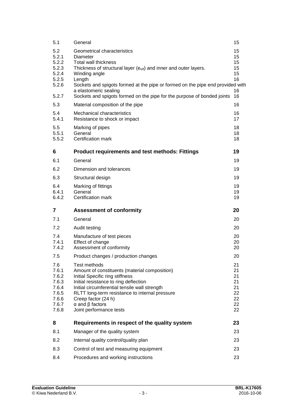| 5.1                                                                         | General                                                                                                                                                                                                                                                                                                                                                            | 15                                                 |
|-----------------------------------------------------------------------------|--------------------------------------------------------------------------------------------------------------------------------------------------------------------------------------------------------------------------------------------------------------------------------------------------------------------------------------------------------------------|----------------------------------------------------|
| 5.2<br>5.2.1<br>5.2.2<br>5.2.3<br>5.2.4<br>5.2.5<br>5.2.6<br>5.2.7          | Geometrical characteristics<br>Diameter<br>Total wall thickness<br>Thickness of structural layer ( $e_{\text{eff}}$ ) and inner and outer layers.<br>Winding angle<br>Length<br>Sockets and spigots formed at the pipe or formed on the pipe end provided with<br>a elastomeric sealing<br>Sockets and spigots formed on the pipe for the purpose of bonded joints | 15<br>15<br>15<br>15<br>15<br>16<br>16<br>16       |
| 5.3                                                                         | Material composition of the pipe                                                                                                                                                                                                                                                                                                                                   | 16                                                 |
| 5.4<br>5.4.1                                                                | Mechanical characteristics<br>Resistance to shock or impact                                                                                                                                                                                                                                                                                                        | 16<br>17                                           |
| 5.5<br>5.5.1<br>5.5.2                                                       | Marking of pipes<br>General<br>Certification mark                                                                                                                                                                                                                                                                                                                  | 18<br>18<br>18                                     |
| 6                                                                           | <b>Product requirements and test methods: Fittings</b>                                                                                                                                                                                                                                                                                                             | 19                                                 |
| 6.1                                                                         | General                                                                                                                                                                                                                                                                                                                                                            | 19                                                 |
| 6.2                                                                         | Dimension and tolerances                                                                                                                                                                                                                                                                                                                                           | 19                                                 |
| 6.3                                                                         | Structural design                                                                                                                                                                                                                                                                                                                                                  | 19                                                 |
| 6.4<br>6.4.1<br>6.4.2                                                       | Marking of fittings<br>General<br>Certification mark                                                                                                                                                                                                                                                                                                               | 19<br>19<br>19                                     |
|                                                                             |                                                                                                                                                                                                                                                                                                                                                                    |                                                    |
| 7                                                                           | <b>Assessment of conformity</b>                                                                                                                                                                                                                                                                                                                                    | 20                                                 |
| 7.1                                                                         | General                                                                                                                                                                                                                                                                                                                                                            | 20                                                 |
| 7.2                                                                         | Audit testing                                                                                                                                                                                                                                                                                                                                                      | 20                                                 |
| 7.4<br>7.4.1<br>7.4.2                                                       | Manufacture of test pieces<br>Effect of change<br>Assessment of conformity                                                                                                                                                                                                                                                                                         | 20<br>20<br>20                                     |
| 7.5                                                                         | Product changes / production changes                                                                                                                                                                                                                                                                                                                               | 20                                                 |
| 7.6<br>7.6.1<br>7.6.2<br>7.6.3<br>7.6.4<br>7.6.5<br>7.6.6<br>7.6.7<br>7.6.8 | Test methods<br>Amount of constituents (material composition)<br>Initial Specific ring stiffness<br>Initial resistance to ring deflection<br>Initial circumferential tensile wall strength<br>RLTT long-term resistance to internal pressure<br>Creep factor (24 h)<br>$\alpha$ and $\beta$ factors<br>Joint performance tests                                     | 21<br>21<br>21<br>21<br>21<br>22<br>22<br>22<br>22 |
| 8                                                                           | Requirements in respect of the quality system                                                                                                                                                                                                                                                                                                                      | 23                                                 |
| 8.1                                                                         | Manager of the quality system                                                                                                                                                                                                                                                                                                                                      | 23                                                 |
| 8.2                                                                         | Internal quality control/quality plan                                                                                                                                                                                                                                                                                                                              | 23                                                 |
| 8.3                                                                         | Control of test and measuring equipment                                                                                                                                                                                                                                                                                                                            | 23                                                 |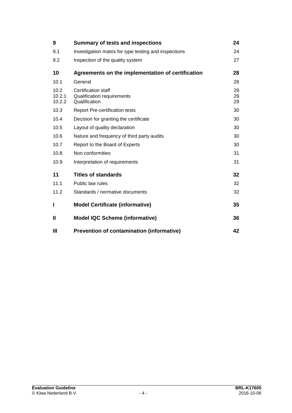| 9                        | <b>Summary of tests and inspections</b>                            | 24             |
|--------------------------|--------------------------------------------------------------------|----------------|
| 9.1                      | Investigation matrix for type testing and inspections              | 24             |
| 9.2                      | Inspection of the quality system                                   | 27             |
| 10                       | Agreements on the implementation of certification                  | 28             |
| 10.1                     | General                                                            | 28             |
| 10.2<br>10.2.1<br>10.2.2 | Certification staff<br>Qualification requirements<br>Qualification | 28<br>29<br>29 |
| 10.3                     | <b>Report Pre-certification tests</b>                              | 30             |
| 10.4                     | Decision for granting the certificate                              | 30             |
| 10.5                     | Layout of quality declaration                                      | 30             |
| 10.6                     | Nature and frequency of third party audits                         | 30             |
| 10.7                     | Report to the Board of Experts                                     | 30             |
| 10.8                     | Non conformities                                                   | 31             |
| 10.9                     | Interpretation of requirements                                     | 31             |
| 11                       | Titles of standards                                                | 32             |
| 11.1                     | Public law rules                                                   | 32             |
| 11.2                     | Standards / normative documents                                    | 32             |
| п                        | <b>Model Certificate (informative)</b>                             | 35             |
| Ш                        | <b>Model IQC Scheme (informative)</b>                              | 36             |
| Ш                        | <b>Prevention of contamination (informative)</b>                   | 42             |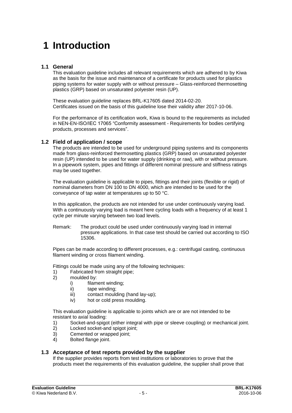## **1 Introduction**

## **1.1 General**

This evaluation guideline includes all relevant requirements which are adhered to by Kiwa as the basis for the issue and maintenance of a certificate for products used for plastics piping systems for water supply with or without pressure – Glass-reinforced thermosetting plastics (GRP) based on unsaturated polyester resin (UP).

These evaluation guideline replaces BRL-K17605 dated 2014-02-20. Certificates issued on the basis of this guideline lose their validity after 2017-10-06.

For the performance of its certification work, Kiwa is bound to the requirements as included in NEN-EN-ISO/IEC 17065 "Conformity assessment - Requirements for bodies certifying products, processes and services".

## **1.2 Field of application / scope**

The products are intended to be used for underground piping systems and its components made from glass-reinforced thermosetting plastics (GRP) based on unsaturated polyester resin (UP) intended to be used for water supply (drinking or raw), with or without pressure. In a pipework system, pipes and fittings of different nominal pressure and stiffness ratings may be used together.

The evaluation guideline is applicable to pipes, fittings and their joints (flexible or rigid) of nominal diameters from DN 100 to DN 4000, which are intended to be used for the conveyance of tap water at temperatures up to 50 °C.

In this application, the products are not intended for use under continuously varying load. With a continuously varying load is meant here cycling loads with a frequency of at least 1 cycle per minute varying between two load levels.

Remark: The product could be used under continuously varying load in internal pressure applications. In that case test should be carried out according to ISO 15306.

Pipes can be made according to different processes, e.g.: centrifugal casting, continuous filament winding or cross filament winding.

Fittings could be made using any of the following techniques:

- 1) Fabricated from straight pipe;<br>2) moulded by:
- moulded by:
	- i) filament winding;
	- ii) tape winding;
	- iii) contact moulding (hand lay-up);
	- iv) hot or cold press moulding.

This evaluation guideline is applicable to joints which are or are not intended to be resistant to axial loading:

- 1) Socket-and-spigot (either integral with pipe or sleeve coupling) or mechanical joint.
- 2) Locked socket-and spigot joint;
- 3) Cemented or wrapped joint;
- 4) Bolted flange joint.

## **1.3 Acceptance of test reports provided by the supplier**

If the supplier provides reports from test institutions or laboratories to prove that the products meet the requirements of this evaluation guideline, the supplier shall prove that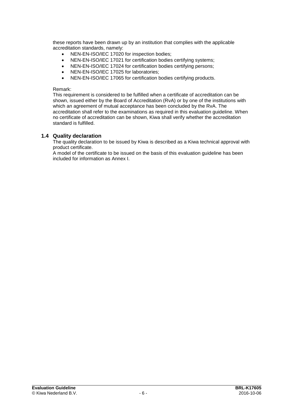these reports have been drawn up by an institution that complies with the applicable accreditation standards, namely:

- NEN-EN-ISO/IEC 17020 for inspection bodies;
- NEN-EN-ISO/IEC 17021 for certification bodies certifying systems;
- NEN-EN-ISO/IEC 17024 for certification bodies certifying persons;
- NEN-EN-ISO/IEC 17025 for laboratories;
- NEN-EN-ISO/IEC 17065 for certification bodies certifying products.

#### Remark:

This requirement is considered to be fulfilled when a certificate of accreditation can be shown, issued either by the Board of Accreditation (RvA) or by one of the institutions with which an agreement of mutual acceptance has been concluded by the RvA. The accreditation shall refer to the examinations as required in this evaluation guideline. When no certificate of accreditation can be shown, Kiwa shall verify whether the accreditation standard is fulfilled.

### **1.4 Quality declaration**

The quality declaration to be issued by Kiwa is described as a Kiwa technical approval with product certificate.

A model of the certificate to be issued on the basis of this evaluation guideline has been included for information as Annex I.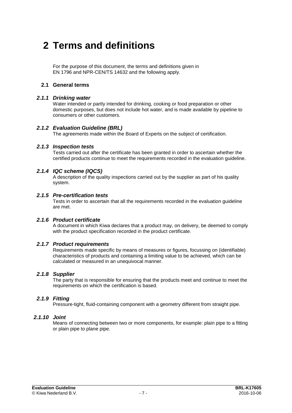## **2 Terms and definitions**

For the purpose of this document, the terms and definitions given in EN 1796 and NPR-CEN/TS 14632 and the following apply.

## **2.1 General terms**

## *2.1.1 Drinking water*

Water intended or partly intended for drinking, cooking or food preparation or other domestic purposes, but does not include hot water, and is made available by pipeline to consumers or other customers.

## *2.1.2 Evaluation Guideline (BRL)*

The agreements made within the Board of Experts on the subject of certification.

## *2.1.3 Inspection tests*

Tests carried out after the certificate has been granted in order to ascertain whether the certified products continue to meet the requirements recorded in the evaluation guideline.

## *2.1.4 IQC scheme (IQCS)*

A description of the quality inspections carried out by the supplier as part of his quality system.

## *2.1.5 Pre-certification tests*

Tests in order to ascertain that all the requirements recorded in the evaluation guideline are met.

## *2.1.6 Product certificate*

A document in which Kiwa declares that a product may, on delivery, be deemed to comply with the product specification recorded in the product certificate.

## *2.1.7 Product requirements*

Requirements made specific by means of measures or figures, focussing on (identifiable) characteristics of products and containing a limiting value to be achieved, which can be calculated or measured in an unequivocal manner.

## *2.1.8 Supplier*

The party that is responsible for ensuring that the products meet and continue to meet the requirements on which the certification is based.

## *2.1.9 Fitting*

Pressure-tight, fluid-containing component with a geometry different from straight pipe.

## *2.1.10 Joint*

Means of connecting between two or more components, for example: plain pipe to a fitting or plain pipe to plane pipe.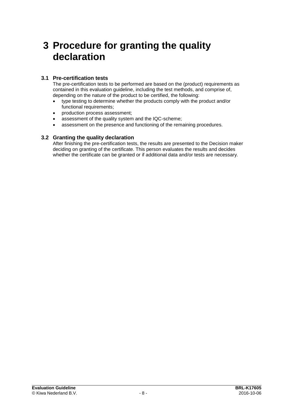## **3 Procedure for granting the quality declaration**

## **3.1 Pre-certification tests**

The pre-certification tests to be performed are based on the (product) requirements as contained in this evaluation guideline, including the test methods, and comprise of, depending on the nature of the product to be certified, the following:

- type testing to determine whether the products comply with the product and/or functional requirements;
- production process assessment;
- assessment of the quality system and the IQC-scheme;
- assessment on the presence and functioning of the remaining procedures.

## **3.2 Granting the quality declaration**

After finishing the pre-certification tests, the results are presented to the Decision maker deciding on granting of the certificate. This person evaluates the results and decides whether the certificate can be granted or if additional data and/or tests are necessary.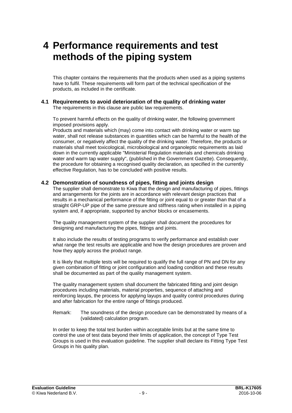## **4 Performance requirements and test methods of the piping system**

This chapter contains the requirements that the products when used as a piping systems have to fulfil. These requirements will form part of the technical specification of the products, as included in the certificate.

## **4.1 Requirements to avoid deterioration of the quality of drinking water**

The requirements in this clause are public law requirements.

To prevent harmful effects on the quality of drinking water, the following government imposed provisions apply.

Products and materials which (may) come into contact with drinking water or warm tap water, shall not release substances in quantities which can be harmful to the health of the consumer, or negatively affect the quality of the drinking water. Therefore, the products or materials shall meet toxicological, microbiological and organoleptic requirements as laid down in the currently applicable "Ministerial Regulation materials and chemicals drinking water and warm tap water supply", (published in the Government Gazette). Consequently, the procedure for obtaining a recognised quality declaration, as specified in the currently effective Regulation, has to be concluded with positive results.

## **4.2 Demonstration of soundness of pipes, fitting and joints design**

The supplier shall demonstrate to Kiwa that the design and manufacturing of pipes, fittings and arrangements for the joints are in accordance with relevant design practices that results in a mechanical performance of the fitting or joint equal to or greater than that of a straight GRP-UP pipe of the same pressure and stiffness rating when installed in a piping system and, if appropriate, supported by anchor blocks or encasements.

The quality management system of the supplier shall document the procedures for designing and manufacturing the pipes, fittings and joints.

It also include the results of testing programs to verify performance and establish over what range the test results are applicable and how the design procedures are proven and how they apply across the product range.

It is likely that multiple tests will be required to qualify the full range of PN and DN for any given combination of fitting or joint configuration and loading condition and these results shall be documented as part of the quality management system.

The quality management system shall document the fabricated fitting and joint design procedures including materials, material properties, sequence of attaching and reinforcing layups, the process for applying layups and quality control procedures during and after fabrication for the entire range of fittings produced.

Remark: The soundness of the design procedure can be demonstrated by means of a (validated) calculation program.

In order to keep the total test burden within acceptable limits but at the same time to control the use of test data beyond their limits of application, the concept of Type Test Groups is used in this evaluation guideline. The supplier shall declare its Fitting Type Test Groups in his quality plan.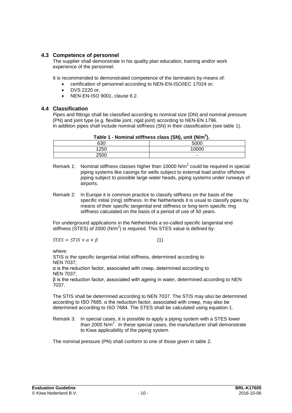## **4.3 Competence of personnel**

The supplier shall demonstrate in his quality plan education, training and/or work experience of the personnel.

It is recommended to demonstrated competence of the laminators by means of:

- certification of personnel according to NEN-EN-ISO/IEC 17024 or;
- DVS 2220 or;
- NEN-EN-ISO 9001, clause 6.2.

## **4.4 Classification**

Pipes and fittings shall be classified according to nominal size (DN) and nominal pressure (PN) and joint type (e.g. flexible joint, rigid joint) according to NEN-EN 1796. In addition pipes shall include nominal stiffness (SN) in their classification (see table 1).

| Table 1 - Nominal stiffness class (SN), unit (N/m <sup>2</sup> ). |       |  |  |  |
|-------------------------------------------------------------------|-------|--|--|--|
| 630                                                               | 5000  |  |  |  |
| 1250                                                              | 10000 |  |  |  |

2500 -

- Remark 1: Nominal stiffness classes higher than 10000 N/m<sup>2</sup> could be required in special piping systems like casings for wells subject to external load and/or offshore piping subject to possible large water heads, piping systems under runways of airports.
- Remark 2: In Europe it is common practice to classify stiffness on the basis of the specific initial (ring) stiffness. In the Netherlands it is usual to classify pipes by means of their specific tangential end stiffness or long-term specific ring stiffness calculated on the basis of a period of use of 50 years.

For underground applications in the Netherlands a so-called specific tangential end stiffness (STES) of 2000 (N/m<sup>2</sup>) is required. This STES value is defined by:

$$
STES = STIS \times \alpha \times \beta \tag{1}
$$

where:

STIS is the specific tangential initial stiffness, determined according to NEN 7037; α is the reduction factor, associated with creep, determined according to

NEN 7037;

β is the reduction factor, associated with ageing in water, determined according to NEN 7037.

The STIS shall be determined according to NEN 7037. The STIS may also be determined according to ISO 7685. α the reduction factor, associated with creep, may also be determined according to ISO 7684. The STES shall be calculated using equation 1.

Remark 3: In special cases, it is possible to apply a piping system with a STES lower than 2000 N/m<sup>2</sup>. In these special cases, the manufacturer shall demonstrate to Kiwa applicability of the piping system.

The nominal pressure (PN) shall conform to one of those given in table 2.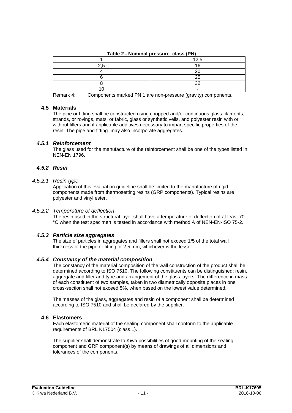| $\frac{1}{2}$ $\frac{1}{2}$ $\frac{1}{2}$ $\frac{1}{2}$ $\frac{1}{2}$ $\frac{1}{2}$ $\frac{1}{2}$ $\frac{1}{2}$ $\frac{1}{2}$ $\frac{1}{2}$ $\frac{1}{2}$ $\frac{1}{2}$ $\frac{1}{2}$ $\frac{1}{2}$ $\frac{1}{2}$ $\frac{1}{2}$ $\frac{1}{2}$ $\frac{1}{2}$ $\frac{1}{2}$ $\frac{1}{2}$ $\frac{1}{2}$ $\frac{1}{2}$ |               |  |  |
|---------------------------------------------------------------------------------------------------------------------------------------------------------------------------------------------------------------------------------------------------------------------------------------------------------------------|---------------|--|--|
|                                                                                                                                                                                                                                                                                                                     | 1つ ち<br>ن.∠ ا |  |  |
|                                                                                                                                                                                                                                                                                                                     |               |  |  |
|                                                                                                                                                                                                                                                                                                                     |               |  |  |
|                                                                                                                                                                                                                                                                                                                     | 25            |  |  |
|                                                                                                                                                                                                                                                                                                                     | ົ             |  |  |
|                                                                                                                                                                                                                                                                                                                     |               |  |  |

**Table 2 - Nominal pressure class (PN)**

Remark 4: Components marked PN 1 are non-pressure (gravity) components.

## **4.5 Materials**

The pipe or fitting shall be constructed using chopped and/or continuous glass filaments, strands, or rovings, mats, or fabric, glass or synthetic veils, and polyester resin with or without fillers and if applicable additives necessary to impart specific properties of the resin. The pipe and fitting may also incorporate aggregates.

## *4.5.1 Reinforcement*

The glass used for the manufacture of the reinforcement shall be one of the types listed in NEN-EN 1796.

## *4.5.2 Resin*

### *4.5.2.1 Resin type*

Application of this evaluation guideline shall be limited to the manufacture of rigid components made from thermosetting resins (GRP components). Typical resins are polyester and vinyl ester.

## *4.5.2.2 Temperature of deflection*

The resin used in the structural layer shall have a temperature of deflection of at least 70 °C when the test specimen is tested in accordance with method A of NEN-EN-ISO 75-2.

## *4.5.3 Particle size aggregates*

The size of particles in aggregates and fillers shall not exceed 1/5 of the total wall thickness of the pipe or fitting or 2,5 mm, whichever is the lesser.

## *4.5.4 Constancy of the material composition*

The constancy of the material composition of the wall construction of the product shall be determined according to ISO 7510. The following constituents can be distinguished: resin, aggregate and filler and type and arrangement of the glass layers. The difference in mass of each constituent of two samples, taken in two diametrically opposite places in one cross-section shall not exceed 5%, when based on the lowest value determined.

The masses of the glass, aggregates and resin of a component shall be determined according to ISO 7510 and shall be declared by the supplier.

## **4.6 Elastomers**

Each elastomeric material of the sealing component shall conform to the applicable requirements of BRL K17504 (class 1).

The supplier shall demonstrate to Kiwa possibilities of good mounting of the sealing component and GRP component(s) by means of drawings of all dimensions and tolerances of the components.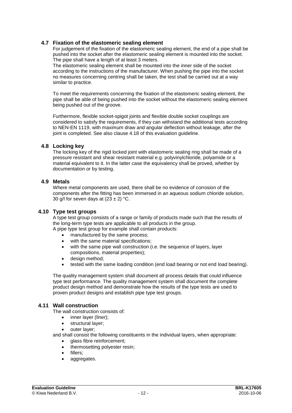## **4.7 Fixation of the elastomeric sealing element**

For judgement of the fixation of the elastomeric sealing element, the end of a pipe shall be pushed into the socket after the elastomeric sealing element is mounted into the socket. The pipe shall have a length of at least 3 meters.

The elastomeric sealing element shall be mounted into the inner side of the socket according to the instructions of the manufacturer. When pushing the pipe into the socket no measures concerning centring shall be taken, the test shall be carried out at a way similar to practice.

To meet the requirements concerning the fixation of the elastomeric sealing element, the pipe shall be able of being pushed into the socket without the elastomeric sealing element being pushed out of the groove.

Furthermore, flexible socket-spigot joints and flexible double socket couplings are considered to satisfy the requirements, if they can withstand the additional tests according to NEN-EN 1119, with maximum draw and angular deflection without leakage, after the joint is completed. See also clause 4.18 of this evaluation guideline.

## **4.8 Locking key**

The locking key of the rigid locked joint with elastomeric sealing ring shall be made of a pressure resistant and shear resistant material e.g. polyvinylchloride, polyamide or a material equivalent to it. In the latter case the equivalency shall be proved, whether by documentation or by testing.

## **4.9 Metals**

Where metal components are used, there shall be no evidence of corrosion of the components after the fitting has been immersed in an aqueous sodium chloride solution, 30 g/l for seven days at  $(23 \pm 2)$  °C.

## **4.10 Type test groups**

A type test group consists of a range or family of products made such that the results of the long-term type tests are applicable to all products in the group. A pipe type test group for example shall contain products:

- manufactured by the same process;
- with the same material specifications:
- with the same pipe wall construction (i.e. the sequence of layers, layer compositions, material properties);
- design method;
- tested with the same loading condition (end load bearing or not end load bearing).

The quality management system shall document all process details that could influence type test performance. The quality management system shall document the complete product design method and demonstrate how the results of the type tests are used to proven product designs and establish pipe type test groups.

## **4.11 Wall construction**

The wall construction consists of:

- inner layer (liner);
- structural layer;
- outer layer;

and shall consist the following constituents in the individual layers, when appropriate:

- glass fibre reinforcement;
- thermosetting polyester resin;
- fillers;
- aggregates.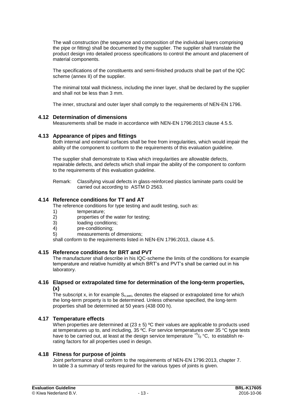The wall construction (the sequence and composition of the individual layers comprising the pipe or fitting) shall be documented by the supplier. The supplier shall translate the product design into detailed process specifications to control the amount and placement of material components.

The specifications of the constituents and semi-finished products shall be part of the IQC scheme (annex II) of the supplier.

The minimal total wall thickness, including the inner layer, shall be declared by the supplier and shall not be less than 3 mm.

The inner, structural and outer layer shall comply to the requirements of NEN-EN 1796.

#### **4.12 Determination of dimensions**

Measurements shall be made in accordance with NEN-EN 1796:2013 clause 4.5.5.

#### **4.13 Appearance of pipes and fittings**

Both internal and external surfaces shall be free from irregularities, which would impair the ability of the component to conform to the requirements of this evaluation guideline.

The supplier shall demonstrate to Kiwa which irregularities are allowable defects, repairable defects, and defects which shall impair the ability of the component to conform to the requirements of this evaluation guideline.

Remark: Classifying visual defects in glass-reinforced plastics laminate parts could be carried out according to ASTM D 2563.

## **4.14 Reference conditions for TT and AT**

The reference conditions for type testing and audit testing, such as:

- 1) temperature;<br>2) properties of
- 2) properties of the water for testing;<br>3) loading conditions;
- loading conditions;
- 4) pre-conditioning;
- 5) measurements of dimensions;

shall conform to the requirements listed in NEN-EN 1796:2013, clause 4.5.

#### **4.15 Reference conditions for BRT and PVT**

The manufacturer shall describe in his IQC-scheme the limits of the conditions for example temperature and relative humidity at which BRT's and PVT's shall be carried out in his laboratory.

#### **4.16 Elapsed or extrapolated time for determination of the long-term properties, (x)**

The subscript x, in for example  $S_{x, wet}$ , denotes the elapsed or extrapolated time for which the long-term property is to be determined. Unless otherwise specified, the long-term properties shall be determined at 50 years (438 000 h).

#### **4.17 Temperature effects**

When properties are determined at  $(23 \pm 5)$  °C their values are applicable to products used at temperatures up to, and including, 35 ºC. For service temperatures over 35 °C type tests have to be carried out, at least at the design service temperature  $^{+5}$ / $^{0}$ °C, to establish rerating factors for all properties used in design.

#### **4.18 Fitness for purpose of joints**

Joint performance shall conform to the requirements of NEN-EN 1796:2013, chapter 7. In table 3 a summary of tests required for the various types of joints is given.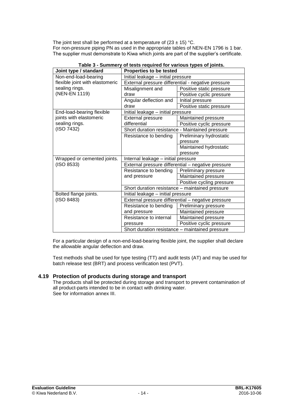The joint test shall be performed at a temperature of  $(23 \pm 15)$  °C. For non-pressure piping PN as used in the appropriate tables of NEN-EN 1796 is 1 bar. The supplier must demonstrate to Kiwa which joints are part of the supplier's certificate.

| Joint type / standard                                            | <b>Properties to be tested</b>                                                        |                                                    |  |
|------------------------------------------------------------------|---------------------------------------------------------------------------------------|----------------------------------------------------|--|
| Non-end-load-bearing                                             | Initial leakage - initial pressure                                                    |                                                    |  |
| flexible joint with elastomeric                                  | External pressure differential - negative pressure                                    |                                                    |  |
| sealing rings.                                                   | Misalignment and<br>Positive static pressure                                          |                                                    |  |
| (NEN-EN 1119)                                                    | draw                                                                                  | Positive cyclic pressure                           |  |
|                                                                  | Angular deflection and                                                                | Initial pressure                                   |  |
|                                                                  | draw                                                                                  | Positive static pressure                           |  |
| End-load-bearing flexible                                        | Initial leakage - initial pressure                                                    |                                                    |  |
| joints with elastomeric                                          | <b>External pressure</b>                                                              | Maintained pressure                                |  |
| sealing rings.                                                   | differential                                                                          | Positive cyclic pressure                           |  |
| (ISO 7432)                                                       | Short duration resistance - Maintained pressure                                       |                                                    |  |
|                                                                  | Resistance to bending                                                                 | Preliminary hydrostatic                            |  |
|                                                                  |                                                                                       | pressure                                           |  |
|                                                                  |                                                                                       | Maintained hydrostatic                             |  |
|                                                                  |                                                                                       | pressure                                           |  |
| Wrapped or cemented joints.                                      | Internal leakage - initial pressure                                                   |                                                    |  |
| (ISO 8533)                                                       |                                                                                       | External pressure differential - negative pressure |  |
|                                                                  | Resistance to bending                                                                 | Preliminary pressure                               |  |
|                                                                  | and pressure                                                                          | Maintained pressure                                |  |
|                                                                  |                                                                                       | Positive cycling pressure                          |  |
|                                                                  | Short duration resistance - maintained pressure                                       |                                                    |  |
| Bolted flange joints.                                            | Initial leakage - initial pressure                                                    |                                                    |  |
| (ISO 8483)<br>External pressure differential - negative pressure |                                                                                       |                                                    |  |
|                                                                  | Resistance to bending                                                                 | Preliminary pressure                               |  |
|                                                                  | and pressure                                                                          | Maintained pressure                                |  |
|                                                                  | Resistance to internal<br>Maintained pressure<br>pressure<br>Positive cyclic pressure |                                                    |  |
|                                                                  |                                                                                       |                                                    |  |
|                                                                  | Short duration resistance - maintained pressure                                       |                                                    |  |

| Table 3 - Summery of tests required for various types of joints. |
|------------------------------------------------------------------|
|------------------------------------------------------------------|

For a particular design of a non-end-load-bearing flexible joint, the supplier shall declare the allowable angular deflection and draw.

Test methods shall be used for type testing (TT) and audit tests (AT) and may be used for batch release test (BRT) and process verification test (PVT).

## **4.19 Protection of products during storage and transport**

The products shall be protected during storage and transport to prevent contamination of all product-parts intended to be in contact with drinking water. See for information annex III.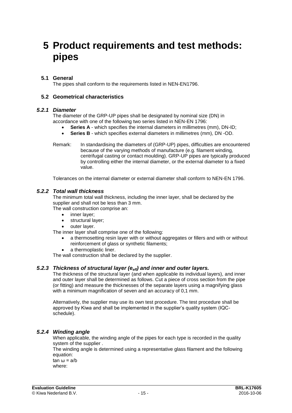## **5 Product requirements and test methods: pipes**

## **5.1 General**

The pipes shall conform to the requirements listed in NEN-EN1796.

## **5.2 Geometrical characteristics**

### *5.2.1 Diameter*

The diameter of the GRP-UP pipes shall be designated by nominal size (DN) in accordance with one of the following two series listed in NEN-EN 1796:

- **Series A** which specifies the internal diameters in millimetres (mm), DN-ID;
- **Series B** which specifies external diameters in millimetres (mm), DN -OD.
- Remark: In standardising the diameters of (GRP-UP) pipes, difficulties are encountered because of the varying methods of manufacture (e.g. filament winding, centrifugal casting or contact moulding). GRP-UP pipes are typically produced by controlling either the internal diameter, or the external diameter to a fixed value.

Tolerances on the internal diameter or external diameter shall conform to NEN-EN 1796.

## *5.2.2 Total wall thickness*

The minimum total wall thickness, including the inner layer, shall be declared by the supplier and shall not be less than 3 mm.

The wall construction comprise an:

- inner layer;
- structural layer;
- outer layer.

The inner layer shall comprise one of the following:

- a thermosetting resin layer with or without aggregates or fillers and with or without reinforcement of glass or synthetic filaments;
- a thermoplastic liner.

The wall construction shall be declared by the supplier.

#### *5.2.3 Thickness of structural layer (eeff) and inner and outer layers.*

The thickness of the structural layer (and when applicable its individual layers), and inner and outer layer shall be determined as follows. Cut a piece of cross section from the pipe (or fitting) and measure the thicknesses of the separate layers using a magnifying glass with a minimum magnification of seven and an accuracy of 0,1 mm.

Alternatively, the supplier may use its own test procedure. The test procedure shall be approved by Kiwa and shall be implemented in the supplier's quality system (IQCschedule).

## *5.2.4 Winding angle*

When applicable, the winding angle of the pipes for each type is recorded in the quality system of the supplier .

The winding angle is determined using a representative glass filament and the following equation:

tan ω = a/b where: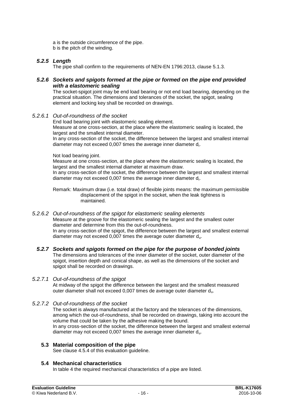a is the outside circumference of the pipe. b is the pitch of the winding.

## *5.2.5 Length*

The pipe shall confirm to the requirements of NEN-EN 1796:2013, clause 5.1.3.

### *5.2.6 Sockets and spigots formed at the pipe or formed on the pipe end provided with a elastomeric sealing*

The socket-spigot joint may be end load bearing or not end load bearing, depending on the practical situation. The dimensions and tolerances of the socket, the spigot, sealing element and locking key shall be recorded on drawings.

*5.2.6.1 Out-of-roundness of the socket*

End load bearing joint with elastomeric sealing element. Measure at one cross-section, at the place where the elastomeric sealing is located, the largest and the smallest internal diameter. In any cross-section of the socket, the difference between the largest and smallest internal

Not load bearing joint.

Measure at one cross-section, at the place where the elastomeric sealing is located, the largest and the smallest internal diameter at maximum draw. In any cross-section of the socket, the difference between the largest and smallest internal diameter may not exceed 0,007 times the average inner diameter di.

Remark: Maximum draw (i.e. total draw) of flexible joints means: the maximum permissible displacement of the spigot in the socket, when the leak tightness is maintained.

#### *5.2.6.2 Out-of-roundness of the spigot for elastomeric sealing elements*

diameter may not exceed 0,007 times the average inner diameter di.

Measure at the groove for the elastomeric sealing the largest and the smallest outer diameter and determine from this the out-of-roundness.

In any cross-section of the spigot, the difference between the largest and smallest external diameter may not exceed  $0,007$  times the average outer diameter  $d_u$ .

#### *5.2.7 Sockets and spigots formed on the pipe for the purpose of bonded joints* The dimensions and tolerances of the inner diameter of the socket, outer diameter of the spigot, insertion depth and conical shape, as well as the dimensions of the socket and spigot shall be recorded on drawings.

#### *5.2.7.1 Out-of-roundness of the spigot*

At midway of the spigot the difference between the largest and the smallest measured outer diameter shall not exceed 0,007 times de average outer diameter du.

#### *5.2.7.2 Out-of-roundness of the socket*

The socket is always manufactured at the factory and the tolerances of the dimensions, among which the out-of-roundness, shall be recorded on drawings, taking into account the volume that could be taken by the adhesive making the bound. In any cross-section of the socket, the difference between the largest and smallest external diameter may not exceed 0,007 times the average inner diameter du.

## **5.3 Material composition of the pipe**

See clause 4.5.4 of this evaluation guideline.

#### **5.4 Mechanical characteristics**

In table 4 the required mechanical characteristics of a pipe are listed.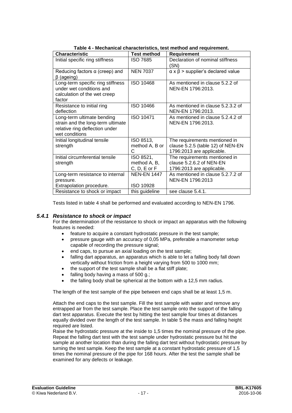| . apro + - moonamoar onaraotoristics, tost mothod and requirement. |                    |                                                   |  |
|--------------------------------------------------------------------|--------------------|---------------------------------------------------|--|
| Characteristic                                                     | <b>Test method</b> | Requirement                                       |  |
| Initial specific ring stiffness                                    | <b>ISO 7685</b>    | Declaration of nominal stiffness                  |  |
|                                                                    |                    | (SN)                                              |  |
| Reducing factors $\alpha$ (creep) and                              | <b>NEN 7037</b>    | $\alpha \times \beta$ > supplier's declared value |  |
| $\beta$ (ageing)                                                   |                    |                                                   |  |
| Long-term specific ring stiffness                                  | ISO 10468          | As mentioned in clause 5.2.2 of                   |  |
| under wet conditions and                                           |                    | NEN-EN 1796:2013.                                 |  |
| calculation of the wet creep                                       |                    |                                                   |  |
| factor                                                             |                    |                                                   |  |
| Resistance to initial ring                                         | ISO 10466          | As mentioned in clause 5.2.3.2 of                 |  |
| deflection                                                         |                    | NEN-EN 1796:2013.                                 |  |
| Long-term ultimate bending                                         | ISO 10471          | As mentioned in clause 5.2.4.2 of                 |  |
| strain and the long-term ultimate                                  |                    | NEN-EN 1796:2013.                                 |  |
| relative ring deflection under                                     |                    |                                                   |  |
| wet conditions                                                     |                    |                                                   |  |
| Initial longitudinal tensile                                       | ISO 8513,          | The requirements mentioned in                     |  |
| strength                                                           | method A, B or     | clause 5.2.5 (table 12) of NEN-EN                 |  |
|                                                                    | C                  | 1796:2013 are applicable.                         |  |
| Initial circumferential tensile                                    | ISO 8521,          | The requirements mentioned in                     |  |
| strength                                                           | method A, B,       | clause 5.2.6.2 of NEN-EN                          |  |
|                                                                    | $C, D, E$ or $F$   | 1796:2013 are applicable.                         |  |
| Long-term resistance to internal                                   | <b>NEN-EN 1447</b> | As mentioned in clause 5.2.7.2 of                 |  |
| pressure.                                                          |                    | NEN-EN 1796:2013                                  |  |
| Extrapolation procedure.                                           | ISO 10928          |                                                   |  |
| Resistance to shock or impact                                      | this guideline     | see clause 5.4.1.                                 |  |

**Table 4 - Mechanical characteristics, test method and requirement.**

Tests listed in table 4 shall be performed and evaluated according to NEN-EN 1796.

## *5.4.1 Resistance to shock or impact*

For the determination of the resistance to shock or impact an apparatus with the following features is needed:

- feature to acquire a constant hydrostatic pressure in the test sample;
- pressure gauge with an accuracy of 0,05 MPa, preferable a manometer setup capable of recording the pressure signal;
- end caps, to pursue an axial loading on the test sample;
- falling dart apparatus, an apparatus which is able to let a falling body fall down vertically without friction from a height varying from 500 to 1000 mm;
- the support of the test sample shall be a flat stiff plate;
- falling body having a mass of 500 g.;
- the falling body shall be spherical at the bottom with a 12,5 mm radius.

The length of the test sample of the pipe between end caps shall be at least 1,5 m.

Attach the end caps to the test sample. Fill the test sample with water and remove any entrapped air from the test sample. Place the test sample onto the support of the falling dart test apparatus. Execute the test by hitting the test sample four times at distances equally divided over the length of the test sample. In table 5 the mass and falling height required are listed.

Raise the hydrostatic pressure at the inside to 1,5 times the nominal pressure of the pipe. Repeat the falling dart test with the test sample under hydrostatic pressure but hit the sample at another location than during the falling dart test without hydrostatic pressure by turning the test sample. Keep the test sample at a constant hydrostatic pressure of 1,5 times the nominal pressure of the pipe for 168 hours. After the test the sample shall be examined for any defects or leakage.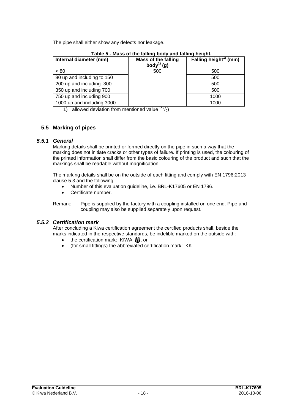The pipe shall either show any defects nor leakage.

| Internal diameter (mm)     | <b>Mass of the falling</b><br>body <sup>1)</sup> (g) | Falling height <sup>1)</sup> (mm) |
|----------------------------|------------------------------------------------------|-----------------------------------|
| < 80                       | 500                                                  | 500                               |
| 80 up and including to 150 |                                                      | 500                               |
| 200 up and including 300   |                                                      | 500                               |
| 350 up and including 700   |                                                      | 500                               |
| 750 up and including 900   |                                                      | 1000                              |
| 1000 up and including 3000 |                                                      | 1000                              |

**Table 5 - Mass of the falling body and falling height.**

1) allowed deviation from mentioned value  $(5/0)$ 

## **5.5 Marking of pipes**

## *5.5.1 General*

Marking details shall be printed or formed directly on the pipe in such a way that the marking does not initiate cracks or other types of failure. If printing is used, the colouring of the printed information shall differ from the basic colouring of the product and such that the markings shall be readable without magnification.

The marking details shall be on the outside of each fitting and comply with EN 1796:2013 clause 5.3 and the following:

- Number of this evaluation guideline, i.e. BRL-K17605 or EN 1796.
- Certificate number.

Remark: Pipe is supplied by the factory with a coupling installed on one end. Pipe and coupling may also be supplied separately upon request.

## *5.5.2 Certification mark*

After concluding a Kiwa certification agreement the certified products shall, beside the marks indicated in the respective standards, be indelible marked on the outside with:

- the certification mark: KIWA  $\lessapprox$ , or
- (for small fittings) the abbreviated certification mark: KK.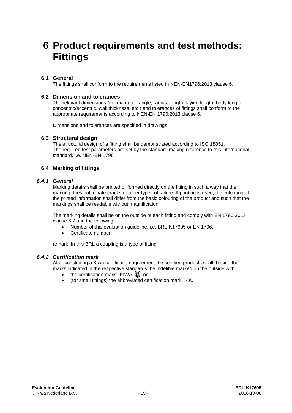## **6 Product requirements and test methods: Fittings**

## **6.1 General**

The fittings shall conform to the requirements listed in NEN-EN1796:2013 clause 6.

## **6.2 Dimension and tolerances**

The relevant dimensions (i.e. diameter, angle, radius, length, laying length, body length, concentric/eccentric, wall thickness, etc.) and tolerances of fittings shall conform to the appropriate requirements according to NEN-EN 1796:2013 clause 6.

Dimensions and tolerances are specified in drawings.

### **6.3 Structural design**

The structural design of a fitting shall be demonstrated according to ISO 18851. The required test parameters are set by the standard making reference to this international standard, i.e. NEN-EN 1796.

## **6.4 Marking of fittings**

### *6.4.1 General*

Marking details shall be printed or formed directly on the fitting in such a way that the marking does not initiate cracks or other types of failure. If printing is used, the colouring of the printed information shall differ from the basic colouring of the product and such that the markings shall be readable without magnification.

The marking details shall be on the outside of each fitting and comply with EN 1796:2013 clause 6.7 and the following:

- Number of this evaluation guideline, i.e. BRL-K17605 or EN 1796.
- Certificate number.

remark: In this BRL a coupling is a type of fitting.

## *6.4.2 Certification mark*

After concluding a Kiwa certification agreement the certified products shall, beside the marks indicated in the respective standards, be indelible marked on the outside with:

- the certification mark: KIWA  $\approx$ , or
- (for small fittings) the abbreviated certification mark: KK.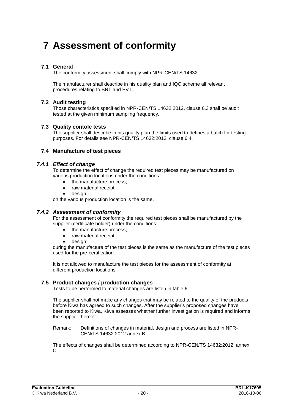## **7 Assessment of conformity**

## **7.1 General**

The conformity assessment shall comply with NPR-CEN/TS 14632.

The manufacturer shall describe in his quality plan and IQC scheme all relevant procedures relating to BRT and PVT.

## **7.2 Audit testing**

Those characteristics specified in NPR-CEN/TS 14632:2012, clause 6.3 shall be audit tested at the given minimum sampling frequency.

### **7.3 Quality contole tests**

The supplier shall describe in his quality plan the limits used to defines a batch for testing purposes. For details see NPR-CEN/TS 14632:2012, clause 6.4.

### **7.4 Manufacture of test pieces**

### *7.4.1 Effect of change*

To determine the effect of change the required test pieces may be manufactured on various production locations under the conditions:

- the manufacture process;
- raw material receipt;
- design;

on the various production location is the same.

## *7.4.2 Assessment of conformity*

For the assessment of conformity the required test pieces shall be manufactured by the supplier (certificate holder) under the conditions:

- the manufacture process;
- raw material receipt:
- design;

during the manufacture of the test pieces is the same as the manufacture of the test pieces used for the pre-certification.

It is not allowed to manufacture the test pieces for the assessment of conformity at different production locations.

## **7.5 Product changes / production changes**

Tests to be performed to material changes are listen in table 6.

The supplier shall not make any changes that may be related to the quality of the products before Kiwa has agreed to such changes. After the supplier's proposed changes have been reported to Kiwa, Kiwa assesses whether further investigation is required and informs the supplier thereof.

Remark: Definitions of changes in material, design and process are listed in NPR-CEN/TS 14632:2012 annex B.

The effects of changes shall be determined according to NPR-CEN/TS 14632:2012, annex C.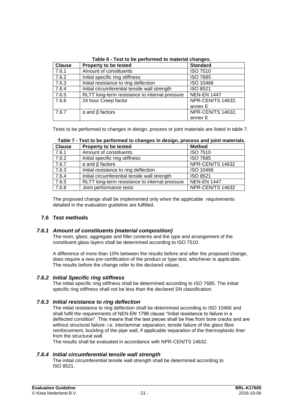| <b>Clause</b> | Property to be tested                          | <b>Standard</b>          |
|---------------|------------------------------------------------|--------------------------|
| 7.6.1         | Amount of constituents                         | <b>ISO 7510</b>          |
| 7.6.2         | Initial specific ring stiffness                | <b>ISO 7685</b>          |
| 7.6.3         | Initial resistance to ring deflection          | ISO 10466                |
| 7.6.4         | Initial circumferential tensile wall strength  | <b>ISO 8521</b>          |
| 7.6.5         | RLTT long-term resistance to internal pressure | <b>NEN-EN 1447</b>       |
| 7.6.6         | 24 hour Creep factor                           | <b>NPR-CEN/TS 14632,</b> |
|               |                                                | annex E                  |
| 7.6.7         | $\alpha$ and $\beta$ factors                   | <b>NPR-CEN/TS 14632,</b> |
|               |                                                | annex E                  |

**Table 6 - Test to be performed to material changes.**

Tests to be performed to changes in design, process or joint materials are listed in table 7.

| <b>Clause</b> | Property to be tested                          | <b>Method</b>      |
|---------------|------------------------------------------------|--------------------|
| 7.6.1         | Amount of constituents                         | <b>ISO 7510</b>    |
| 7.6.2         | Initial specific ring stiffness                | <b>ISO 7685</b>    |
| 7.6.7         | $\alpha$ and $\beta$ factors                   | NPR-CEN/TS 14632   |
| 7.6.3         | Initial resistance to ring deflection          | ISO 10466          |
| 7.6.4         | Initial circumferential tensile wall strength  | <b>ISO 8521</b>    |
| 7.6.5         | RLTT long-term resistance to internal pressure | <b>NEN-EN 1447</b> |
| 7.6.8         | Joint performance tests                        | NPR-CEN/TS 14632   |

**Table 7 - Test to be performed to changes in design, process and joint materials.**

The proposed change shall be implemented only when the applicable requirements detailed in the evaluation guideline are fulfilled.

## **7.6 Test methods**

## *7.6.1 Amount of constituents (material composition)*

The resin, glass, aggregate and filler contents and the type and arrangement of the constituent glass layers shall be determined according to ISO 7510.

A difference of more than 10% between the results before and after the proposed change, does require a new pre-certification of the product or type test, whichever is applicable. The results before the change refer to the declared values.

## *7.6.2 Initial Specific ring stiffness*

The initial specific ring stiffness shall be determined according to ISO 7685. The initial specific ring stiffness shall not be less than the declared SN classification.

## *7.6.3 Initial resistance to ring deflection*

The initial resistance to ring deflection shall be determined according to ISO 10466 and shall fulfil the requirements of NEN-EN 1796 clause "Initial resistance to failure in a deflected condition". This means that the test pieces shall be free from bore cracks and are without structural failure: i.e. interlaminar separation, tensile failure of the glass fibre reinforcement, buckling of the pipe wall, if applicable separation of the thermoplastic liner from the structural wall.

The results shall be evaluated in accordance with NPR-CEN/TS 14632.

#### *7.6.4 Initial circumferential tensile wall strength*

The initial circumferential tensile wall strength shall be determined according to ISO 8521.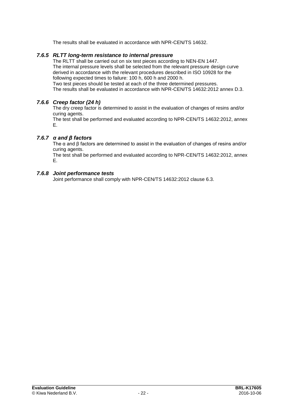The results shall be evaluated in accordance with NPR-CEN/TS 14632.

## *7.6.5 RLTT long-term resistance to internal pressure*

The RLTT shall be carried out on six test pieces according to NEN-EN 1447. The internal pressure levels shall be selected from the relevant pressure design curve derived in accordance with the relevant procedures described in ISO 10928 for the following expected times to failure: 100 h, 600 h and 2000 h. Two test pieces should be tested at each of the three determined pressures.

The results shall be evaluated in accordance with NPR-CEN/TS 14632:2012 annex D.3.

## *7.6.6 Creep factor (24 h)*

The dry creep factor is determined to assist in the evaluation of changes of resins and/or curing agents.

The test shall be performed and evaluated according to NPR-CEN/TS 14632:2012, annex E.

### *7.6.7 α and β factors*

The α and β factors are determined to assist in the evaluation of changes of resins and/or curing agents.

The test shall be performed and evaluated according to NPR-CEN/TS 14632:2012, annex E.

### *7.6.8 Joint performance tests*

Joint performance shall comply with NPR-CEN/TS 14632:2012 clause 6.3.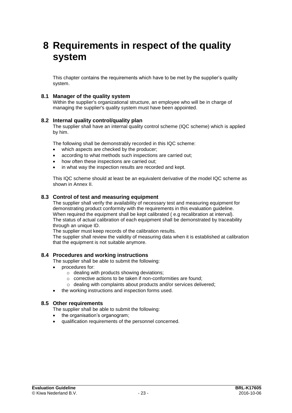## **8 Requirements in respect of the quality system**

This chapter contains the requirements which have to be met by the supplier's quality system.

## **8.1 Manager of the quality system**

Within the supplier's organizational structure, an employee who will be in charge of managing the supplier's quality system must have been appointed.

#### **8.2 Internal quality control/quality plan**

The supplier shall have an internal quality control scheme (IQC scheme) which is applied by him.

The following shall be demonstrably recorded in this IQC scheme:

- which aspects are checked by the producer;
- according to what methods such inspections are carried out;
- how often these inspections are carried out;
- in what way the inspection results are recorded and kept.

This IQC scheme should at least be an equivalent derivative of the model IQC scheme as shown in Annex II.

#### **8.3 Control of test and measuring equipment**

The supplier shall verify the availability of necessary test and measuring equipment for demonstrating product conformity with the requirements in this evaluation guideline. When required the equipment shall be kept calibrated ( e.g recalibration at interval). The status of actual calibration of each equipment shall be demonstrated by traceability through an unique ID.

The supplier must keep records of the calibration results.

The supplier shall review the validity of measuring data when it is established at calibration that the equipment is not suitable anymore.

#### **8.4 Procedures and working instructions**

The supplier shall be able to submit the following:

- procedures for:
	- $\circ$  dealing with products showing deviations:
	- o corrective actions to be taken if non-conformities are found;
	- o dealing with complaints about products and/or services delivered;
- the working instructions and inspection forms used.

#### **8.5 Other requirements**

- The supplier shall be able to submit the following:
- the organisation's organogram;
- qualification requirements of the personnel concerned.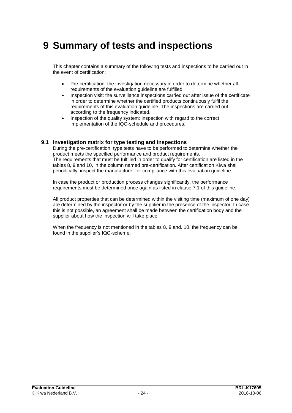## **9 Summary of tests and inspections**

This chapter contains a summary of the following tests and inspections to be carried out in the event of certification:

- Pre-certification: the investigation necessary in order to determine whether all requirements of the evaluation guideline are fulfilled.
- Inspection visit: the surveillance inspections carried out after issue of the certificate in order to determine whether the certified products continuously fulfil the requirements of this evaluation guideline. The inspections are carried out according to the frequency indicated.
- Inspection of the quality system: inspection with regard to the correct implementation of the IQC-schedule and procedures.

## **9.1 Investigation matrix for type testing and inspections**

During the pre-certification, type tests have to be performed to determine whether the product meets the specified performance and product requirements. The requirements that must be fulfilled in order to qualify for certification are listed in the tables 8, 9 and 10, in the column named pre-certification. After certification Kiwa shall periodically inspect the manufacturer for compliance with this evaluation guideline.

In case the product or production process changes significantly, the performance requirements must be determined once again as listed in clause 7.1 of this guideline.

All product properties that can be determined within the visiting time (maximum of one day) are determined by the inspector or by the supplier in the presence of the inspector. In case this is not possible, an agreement shall be made between the certification body and the supplier about how the inspection will take place.

When the frequency is not mentioned in the tables 8, 9 and. 10, the frequency can be found in the supplier's IQC-scheme.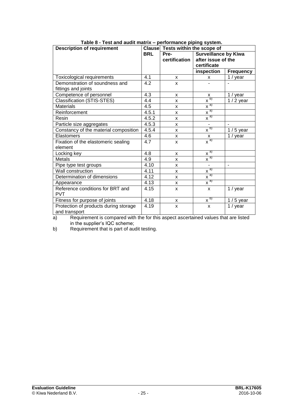| <b>Description of requirement</b>     |            | Clause Tests within the scope of    |                              |                  |
|---------------------------------------|------------|-------------------------------------|------------------------------|------------------|
|                                       | <b>BRL</b> | <b>Surveillance by Kiwa</b><br>Pre- |                              |                  |
|                                       |            | certification                       | after issue of the           |                  |
|                                       |            |                                     | certificate                  |                  |
|                                       |            |                                     | inspection                   | <b>Frequency</b> |
| Toxicological requirements            | 4.1        | X                                   | X                            | $1 /$ year       |
| Demonstration of soundness and        | 4.2        | X                                   |                              |                  |
| fittings and joints                   |            |                                     |                              |                  |
| Competence of personnel               | 4.3        | X                                   | X                            | $1 /$ year       |
| Classification (STIS-STES)            | 4.4        | X                                   | $\overline{X}^{(b)}$         | $1/2$ year       |
| <b>Materials</b>                      | 4.5        | X                                   | $x^{a}$                      |                  |
| Reinforcement                         | 4.5.1      | X                                   | $x^{a}$                      |                  |
| Resin                                 | 4.5.2      | X                                   | $\overline{x}$ <sup>a)</sup> |                  |
| Particle size aggregates              | 4.5.3      | X                                   | $\overline{\phantom{0}}$     | $\overline{a}$   |
| Constancy of the material composition | 4.5.4      | X                                   | $x^{b}$                      | $1/5$ year       |
| Elastomers                            | 4.6        | X                                   | $\frac{x}{x^{a}}$            | 1 / year         |
| Fixation of the elastomeric sealing   | 4.7        | X                                   |                              |                  |
| element                               |            |                                     |                              |                  |
| Locking key                           | 4.8        | X                                   | $\overline{x}^{a)}$          |                  |
| Metals                                | 4.9        | X                                   | $x^{a)}$                     |                  |
| Pipe type test groups                 | 4.10       | X                                   | $\overline{a}$               | L.               |
| Wall construction                     | 4.11       | X                                   | $\overline{x}$ <sup>a)</sup> |                  |
| Determination of dimensions           | 4.12       | X                                   | $\overline{x}^{a)}$          |                  |
| Appearance                            | 4.13       | X                                   | $x^{a}$                      |                  |
| Reference conditions for BRT and      | 4.15       | $\mathsf{x}$                        | $\mathsf{x}$                 | 1 / year         |
| <b>PVT</b>                            |            |                                     |                              |                  |
| Fitness for purpose of joints         | 4.18       | x                                   | $\overline{X}^{(b)}$         | $1/5$ year       |
| Protection of products during storage | 4.19       | $\mathsf{x}$                        | X                            | 1 / year         |
| and transport                         |            |                                     |                              |                  |

**Table 8 - Test and audit matrix – performance piping system.**

a) Requirement is compared with the for this aspect ascertained values that are listed in the supplier's IQC scheme;

b) Requirement that is part of audit testing.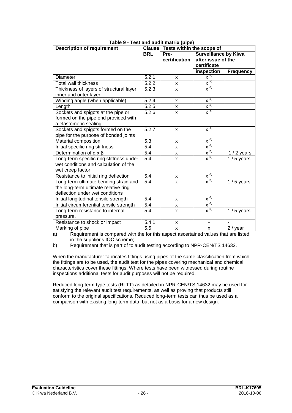| <b>Description of requirement</b>        |                  | Clause Tests within the scope of    |                              |                  |
|------------------------------------------|------------------|-------------------------------------|------------------------------|------------------|
|                                          | <b>BRL</b>       | <b>Surveillance by Kiwa</b><br>Pre- |                              |                  |
|                                          |                  | certification                       | after issue of the           |                  |
|                                          |                  |                                     | certificate                  |                  |
|                                          |                  |                                     | inspection                   | <b>Frequency</b> |
| Diameter                                 | 5.2.1            | X                                   | $x^{\overline{a}}$           |                  |
| Total wall thickness                     | 5.2.2            | X                                   | $\overline{x}^{a)}$          |                  |
| Thickness of layers of structural layer, | 5.2.3            | X                                   | $\overline{x}^{a)}$          |                  |
| inner and outer layer                    |                  |                                     |                              |                  |
| Winding angle (when applicable)          | 5.2.4            | X                                   | $\overline{X}^{a)}$          |                  |
| Length                                   | 5.2.5            | X                                   | $\frac{\overline{x}}{x}$     |                  |
| Sockets and spigots at the pipe or       | 5.2.6            | X                                   | $\overline{x}^{a)}$          |                  |
| formed on the pipe end provided with     |                  |                                     |                              |                  |
| a elastomeric sealing                    |                  |                                     |                              |                  |
| Sockets and spigots formed on the        | 5.2.7            | X                                   | $\overline{x}^{a}$           |                  |
| pipe for the purpose of bonded joints    |                  |                                     |                              |                  |
| Material composition                     | 5.3              | X                                   | $\overline{x}^{a)}$          |                  |
| Initial specific ring stiffness          | $\overline{5.4}$ | X                                   | $\sqrt{a}$                   |                  |
| Determination of $\alpha \times \beta$   | 5.4              | x                                   | $\overline{x^{b)}}$          | $1/2$ years      |
| Long-term specific ring stiffness under  | $\overline{5.4}$ | X                                   | x <sub>p</sub>               | $1/5$ years      |
| wet conditions and calculation of the    |                  |                                     |                              |                  |
| wet creep factor                         |                  |                                     |                              |                  |
| Resistance to initial ring deflection    | 5.4              | X                                   | $\overline{x}$ <sup>a)</sup> |                  |
| Long-term ultimate bending strain and    | $\overline{5.4}$ | X                                   | $\overline{x}^{b)}$          | $1/5$ years      |
| the long-term ultimate relative ring     |                  |                                     |                              |                  |
| deflection under wet conditions          |                  |                                     |                              |                  |
| Initial longitudinal tensile strength    | 5.4              | X                                   | $\overline{x}^{a)}$          |                  |
| Initial circumferential tensile strength | 5.4              | X                                   | $\overline{x}$ <sup>a)</sup> |                  |
| Long-term resistance to internal         | 5.4              | X                                   | $x^{b}$                      | $1/5$ years      |
| pressure.                                |                  |                                     |                              |                  |
| Resistance to shock or impact            | 5.4.1            | X                                   | $\blacksquare$               |                  |
| Marking of pipe                          | $\overline{5.5}$ | X                                   | X                            | 2 / year         |

| Table 9 - Test and audit matrix (pipe) |  |  |
|----------------------------------------|--|--|
|                                        |  |  |

a) Requirement is compared with the for this aspect ascertained values that are listed in the supplier's IQC scheme;

b) Requirement that is part of to audit testing according to NPR-CEN/TS 14632.

When the manufacturer fabricates fittings using pipes of the same classification from which the fittings are to be used, the audit test for the pipes covering mechanical and chemical characteristics cover these fittings. Where tests have been witnessed during routine inspections additional tests for audit purposes will not be required.

Reduced long-term type tests (RLTT) as detailed in NPR-CEN/TS 14632 may be used for satisfying the relevant audit test requirements, as well as proving that products still conform to the original specifications. Reduced long-term tests can thus be used as a comparison with existing long-term data, but not as a basis for a new design.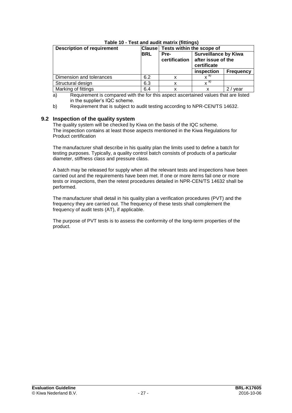| <b>Description of requirement</b> | <b>Clause</b> | Tests within the scope of |                                                                  |                  |
|-----------------------------------|---------------|---------------------------|------------------------------------------------------------------|------------------|
|                                   | <b>BRL</b>    | Pre-<br>certification     | <b>Surveillance by Kiwa</b><br>after issue of the<br>certificate |                  |
|                                   |               |                           | inspection                                                       | <b>Frequency</b> |
| Dimension and tolerances          | 6.2           | x                         | $\mathbf{v}^{(\mathsf{a})}$                                      |                  |
| Structural design                 | 6.3           | x                         | $\mathbf{v}^{(a)}$                                               |                  |
| Marking of fittings               | 6.4           |                           |                                                                  | vear             |

## **Table 10 - Test and audit matrix (fittings)**

a) Requirement is compared with the for this aspect ascertained values that are listed in the supplier's IQC scheme.

b) Requirement that is subject to audit testing according to NPR-CEN/TS 14632.

## **9.2 Inspection of the quality system**

The quality system will be checked by Kiwa on the basis of the IQC scheme. The inspection contains at least those aspects mentioned in the Kiwa Regulations for Product certification

The manufacturer shall describe in his quality plan the limits used to define a batch for testing purposes. Typically, a quality control batch consists of products of a particular diameter, stiffness class and pressure class.

A batch may be released for supply when all the relevant tests and inspections have been carried out and the requirements have been met. If one or more items fail one or more tests or inspections, then the retest procedures detailed in NPR-CEN/TS 14632 shall be performed.

The manufacturer shall detail in his quality plan a verification procedures (PVT) and the frequency they are carried out. The frequency of these tests shall complement the frequency of audit tests (AT), if applicable.

The purpose of PVT tests is to assess the conformity of the long-term properties of the product.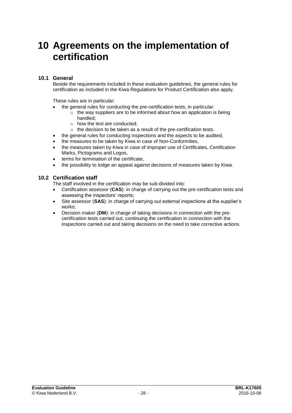## **10 Agreements on the implementation of certification**

## **10.1 General**

Beside the requirements included in these evaluation guidelines, the general rules for certification as included in the Kiwa Regulations for Product Certification also apply.

These rules are in particular:

- the general rules for conducting the pre-certification tests, in particular:
	- $\circ$  the way suppliers are to be informed about how an application is being handled;
	- o how the test are conducted;
	- o the decision to be taken as a result of the pre-certification tests.
	- the general rules for conducting inspections and the aspects to be audited,
- the measures to be taken by Kiwa in case of Non-Conformities,
- the measures taken by Kiwa in case of improper use of Certificates, Certification Marks, Pictograms and Logos,
- terms for termination of the certificate,
- the possibility to lodge an appeal against decisions of measures taken by Kiwa.

### **10.2 Certification staff**

The staff involved in the certification may be sub-divided into:

- Certification assessor (**CAS**): in charge of carrying out the pre-certification tests and assessing the inspectors' reports;
- Site assessor (**SAS**): in charge of carrying out external inspections at the supplier's works;
- Decision maker (**DM**): in charge of taking decisions in connection with the precertification tests carried out, continuing the certification in connection with the inspections carried out and taking decisions on the need to take corrective actions.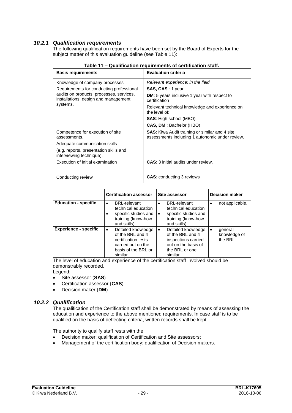## *10.2.1 Qualification requirements*

The following qualification requirements have been set by the Board of Experts for the subject matter of this evaluation guideline (see Table 11):

| <b>Basis requirements</b>                                                                    | <b>Evaluation criteria</b>                                                                               |
|----------------------------------------------------------------------------------------------|----------------------------------------------------------------------------------------------------------|
| Knowledge of company processes                                                               | Relevant experience: in the field                                                                        |
| Requirements for conducting professional                                                     | <b>SAS, CAS</b> : 1 year                                                                                 |
| audits on products, processes, services,<br>installations, design and management<br>systems. | DM: 5 years inclusive 1 year with respect to<br>certification                                            |
|                                                                                              | Relevant technical knowledge and experience on<br>the level of:                                          |
|                                                                                              | <b>SAS:</b> High school (MBO)                                                                            |
|                                                                                              | <b>CAS, DM: Bachelor (HBO)</b>                                                                           |
| Competence for execution of site<br>assessments.                                             | <b>SAS:</b> Kiwa Audit training or similar and 4 site<br>assessments including 1 autonomic under review. |
| Adequate communication skills                                                                |                                                                                                          |
| (e.g. reports, presentation skills and<br>interviewing technique).                           |                                                                                                          |
| Execution of initial examination                                                             | <b>CAS:</b> 3 initial audits under review.                                                               |
|                                                                                              |                                                                                                          |
| Conducting review                                                                            | <b>CAS:</b> conducting 3 reviews                                                                         |

|                              | <b>Certification assessor</b>                                                                                                      | Site assessor                                                                                                                     | <b>Decision maker</b>                           |  |
|------------------------------|------------------------------------------------------------------------------------------------------------------------------------|-----------------------------------------------------------------------------------------------------------------------------------|-------------------------------------------------|--|
| <b>Education - specific</b>  | <b>BRL-relevant</b><br>٠<br>technical education<br>specific studies and<br>training (know-how<br>and skills)                       | <b>BRL-relevant</b><br>$\bullet$<br>technical education<br>specific studies and<br>$\bullet$<br>training (know-how<br>and skills) | not applicable.<br>$\bullet$                    |  |
| <b>Experience - specific</b> | Detailed knowledge<br>$\bullet$<br>of the BRL and 4<br>certification tests<br>carried out on the<br>basis of the BRL or<br>similar | Detailed knowledge<br>of the BRL and 4<br>inspections carried<br>out on the basis of<br>the BRL or one<br>similar.                | general<br>$\bullet$<br>knowledge of<br>the BRL |  |

The level of education and experience of the certification staff involved should be demonstrably recorded.

Legend:

- Site assessor (**SAS**)
- Certification assessor (**CAS**)
- Decision maker (**DM**)

## *10.2.2 Qualification*

The qualification of the Certification staff shall be demonstrated by means of assessing the education and experience to the above mentioned requirements. In case staff is to be qualified on the basis of deflecting criteria, written records shall be kept.

The authority to qualify staff rests with the:

- Decision maker: qualification of Certification and Site assessors;
- Management of the certification body: qualification of Decision makers.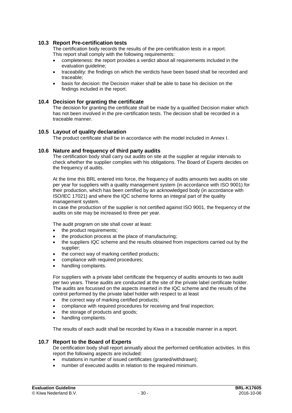## **10.3 Report Pre-certification tests**

The certification body records the results of the pre-certification tests in a report. This report shall comply with the following requirements:

- completeness: the report provides a verdict about all requirements included in the evaluation guideline;
- traceability: the findings on which the verdicts have been based shall be recorded and traceable;
- basis for decision: the Decision maker shall be able to base his decision on the findings included in the report.

#### **10.4 Decision for granting the certificate**

The decision for granting the certificate shall be made by a qualified Decision maker which has not been involved in the pre-certification tests. The decision shall be recorded in a traceable manner.

### **10.5 Layout of quality declaration**

The product certificate shall be in accordance with the model included in Annex I.

### **10.6 Nature and frequency of third party audits**

The certification body shall carry out audits on site at the supplier at regular intervals to check whether the supplier complies with his obligations. The Board of Experts decides on the frequency of audits.

At the time this BRL entered into force, the frequency of audits amounts two audits on site per year for suppliers with a quality management system (in accordance with ISO 9001) for their production, which has been certified by an acknowledged body (in accordance with ISO/IEC 17021) and where the IQC scheme forms an integral part of the quality management system.

In case the production of the supplier is not certified against ISO 9001, the frequency of the audits on site may be increased to three per year.

The audit program on site shall cover at least:

- the product requirements;
- the production process at the place of manufacturing;
- the suppliers IQC scheme and the results obtained from inspections carried out by the supplier;
- the correct way of marking certified products;
- compliance with required procedures;
- handling complaints.

For suppliers with a private label certificate the frequency of audits amounts to two audit per two years. These audits are conducted at the site of the private label certificate holder. The audits are focussed on the aspects inserted in the IQC scheme and the results of the control performed by the private label holder with respect to at least

- the correct way of marking certified products;
- compliance with required procedures for receiving and final inspection;
- the storage of products and goods;
- handling complaints.

The results of each audit shall be recorded by Kiwa in a traceable manner in a report.

#### **10.7 Report to the Board of Experts**

De certification body shall report annually about the performed certification activities. In this report the following aspects are included:

- mutations in number of issued certificates (granted/withdrawn);
- number of executed audits in relation to the required minimum.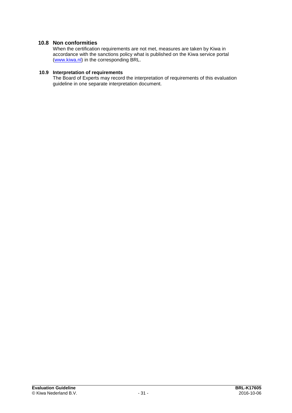## **10.8 Non conformities**

When the certification requirements are not met, measures are taken by Kiwa in accordance with the sanctions policy what is published on the Kiwa service portal [\(www.kiwa.nl\)](http://www.kiwa.nl/) in the corresponding BRL.

## **10.9 Interpretation of requirements**

The Board of Experts may record the interpretation of requirements of this evaluation guideline in one separate interpretation document.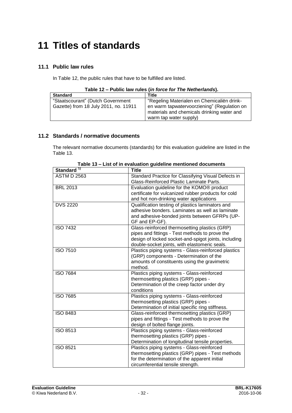## **11 Titles of standards**

## **11.1 Public law rules**

In Table 12, the public rules that have to be fulfilled are listed.

|  |  | Table 12 - Public law rules (in force for The Netherlands). |
|--|--|-------------------------------------------------------------|
|  |  |                                                             |

| <b>Standard</b>                       | Title                                                                                     |
|---------------------------------------|-------------------------------------------------------------------------------------------|
| "Staatscourant" (Dutch Government     | "Regeling Materialen en Chemicaliën drink-                                                |
| Gazette) from 18 July 2011, no. 11911 | en warm tapwatervoorziening" (Regulation on<br>materials and chemicals drinking water and |
|                                       | warm tap water supply)                                                                    |

## **11.2 Standards / normative documents**

The relevant normative documents (standards) for this evaluation guideline are listed in the Table 13.

| Standard <sup>17</sup> | Title                                                                                                                                                                                                    |
|------------------------|----------------------------------------------------------------------------------------------------------------------------------------------------------------------------------------------------------|
| <b>ASTM D 2563</b>     | Standard Practice for Classifying Visual Defects in<br>Glass-Reinforced Plastic Laminate Parts.                                                                                                          |
| <b>BRL 2013</b>        | Evaluation guideline for the KOMO® product<br>certificate for vulcanized rubber products for cold<br>and hot non-drinking water applications                                                             |
| <b>DVS 2220</b>        | Qualification testing of plastics laminators and<br>adhesive bonders. Laminates as well as laminate<br>and adhesive-bonded joints between GFRPs (UP-<br>GF and EP-GF).                                   |
| <b>ISO 7432</b>        | Glass-reinforced thermosetting plastics (GRP)<br>pipes and fittings - Test methods to prove the<br>design of locked socket-and-spigot joints, including<br>double-socket joints, with elastomeric seals. |
| <b>ISO 7510</b>        | Plastics piping systems - Glass-reinforced plastics<br>(GRP) components - Determination of the<br>amounts of constituents using the gravimetric<br>method.                                               |
| <b>ISO 7684</b>        | Plastics piping systems - Glass-reinforced<br>thermosetting plastics (GRP) pipes -<br>Determination of the creep factor under dry<br>conditions                                                          |
| <b>ISO 7685</b>        | Plastics piping systems - Glass-reinforced<br>thermosetting plastics (GRP) pipes -<br>Determination of initial specific ring stiffness.                                                                  |
| <b>ISO 8483</b>        | Glass-reinforced thermosetting plastics (GRP)<br>pipes and fittings - Test methods to prove the<br>design of bolted flange joints.                                                                       |
| <b>ISO 8513</b>        | Plastics piping systems - Glass-reinforced<br>thermosetting plastics (GRP) pipes -<br>Determination of longitudinal tensile properties.                                                                  |
| <b>ISO 8521</b>        | Plastics piping systems - Glass-reinforced<br>thermosetting plastics (GRP) pipes - Test methods<br>for the determination of the apparent initial<br>circumferential tensile strength.                    |

**Table 13 – List of in evaluation guideline mentioned documents**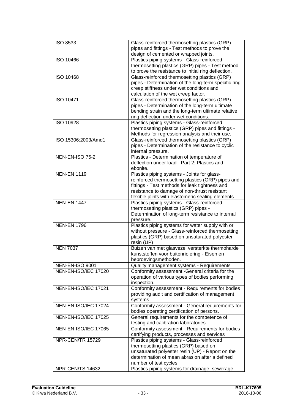| <b>ISO 8533</b>        | Glass-reinforced thermosetting plastics (GRP)<br>pipes and fittings - Test methods to prove the<br>design of cemented or wrapped joints.              |
|------------------------|-------------------------------------------------------------------------------------------------------------------------------------------------------|
| ISO 10466              | Plastics piping systems - Glass-reinforced<br>thermosetting plastics (GRP) pipes - Test method<br>to prove the resistance to initial ring deflection. |
| ISO 10468              | Glass-reinforced thermosetting plastics (GRP)                                                                                                         |
|                        | pipes - Determination of the long-term specific ring                                                                                                  |
|                        | creep stiffness under wet conditions and                                                                                                              |
|                        | calculation of the wet creep factor.                                                                                                                  |
| <b>ISO 10471</b>       | Glass-reinforced thermosetting plastics (GRP)                                                                                                         |
|                        | pipes - Determination of the long-term ultimate                                                                                                       |
|                        | bending strain and the long-term ultimate relative                                                                                                    |
|                        | ring deflection under wet conditions.                                                                                                                 |
| ISO 10928              | Plastics piping systems - Glass-reinforced                                                                                                            |
|                        | thermosetting plastics (GRP) pipes and fittings -                                                                                                     |
|                        | Methods for regression analysis and their use.                                                                                                        |
| ISO 15306:2003/Amd1    | Glass-reinforced thermosetting plastics (GRP)                                                                                                         |
|                        | pipes - Determination of the resistance to cyclic                                                                                                     |
|                        | internal pressure.                                                                                                                                    |
| <b>NEN-EN-ISO 75-2</b> | Plastics - Determination of temperature of                                                                                                            |
|                        | deflection under load - Part 2: Plastics and                                                                                                          |
|                        | ebonite.                                                                                                                                              |
| <b>NEN-EN 1119</b>     | Plastics piping systems - Joints for glass-                                                                                                           |
|                        | reinforced thermosetting plastics (GRP) pipes and                                                                                                     |
|                        | fittings - Test methods for leak tightness and                                                                                                        |
|                        | resistance to damage of non-thrust resistant                                                                                                          |
|                        | flexible joints with elastomeric sealing elements.                                                                                                    |
| <b>NEN-EN 1447</b>     | Plastics piping systems - Glass-reinforced                                                                                                            |
|                        | thermosetting plastics (GRP) pipes -                                                                                                                  |
|                        | Determination of long-term resistance to internal                                                                                                     |
|                        | pressure.                                                                                                                                             |
| <b>NEN-EN 1796</b>     | Plastics piping systems for water supply with or                                                                                                      |
|                        | without pressure - Glass-reinforced thermosetting                                                                                                     |
|                        | plastics (GRP) based on unsaturated polyester<br>resin (UP)                                                                                           |
| <b>NEN 7037</b>        | Buizen van met glasvezel versterkte thermoharde                                                                                                       |
|                        | kunststoffen voor buitenriolering - Eisen en                                                                                                          |
|                        | beproevingsmethoden.                                                                                                                                  |
| <b>NEN-EN-ISO 9001</b> | Quality management systems - Requirements                                                                                                             |
| NEN-EN-ISO/IEC 17020   | Conformity assessment -General criteria for the                                                                                                       |
|                        | operation of various types of bodies performing                                                                                                       |
|                        | inspection.                                                                                                                                           |
| NEN-EN-ISO/IEC 17021   | Conformity assessment - Requirements for bodies                                                                                                       |
|                        | providing audit and certification of management                                                                                                       |
|                        | systems                                                                                                                                               |
| NEN-EN-ISO/IEC 17024   | Conformity assessment - General requirements for                                                                                                      |
|                        | bodies operating certification of persons.                                                                                                            |
| NEN-EN-ISO/IEC 17025   | General requirements for the competence of                                                                                                            |
|                        | testing and calibration laboratories.                                                                                                                 |
| NEN-EN-ISO/IEC 17065   | Conformity assessment - Requirements for bodies                                                                                                       |
|                        | certifying products, processes and services                                                                                                           |
| NPR-CEN/TR 15729       | Plastics piping systems - Glass-reinforced                                                                                                            |
|                        | thermosetting plastics (GRP) based on                                                                                                                 |
|                        | unsaturated polyester resin (UP) - Report on the                                                                                                      |
|                        | determination of mean abrasion after a defined                                                                                                        |
|                        | number of test cycles                                                                                                                                 |
| NPR-CEN/TS 14632       | Plastics piping systems for drainage, sewerage                                                                                                        |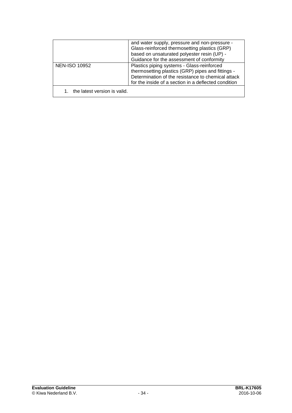|                              | and water supply, pressure and non-pressure -<br>Glass-reinforced thermosetting plastics (GRP)<br>based on unsaturated polyester resin (UP) -<br>Guidance for the assessment of conformity                    |
|------------------------------|---------------------------------------------------------------------------------------------------------------------------------------------------------------------------------------------------------------|
| <b>NEN-ISO 10952</b>         | Plastics piping systems - Glass-reinforced<br>thermosetting plastics (GRP) pipes and fittings -<br>Determination of the resistance to chemical attack<br>for the inside of a section in a deflected condition |
| the latest version is valid. |                                                                                                                                                                                                               |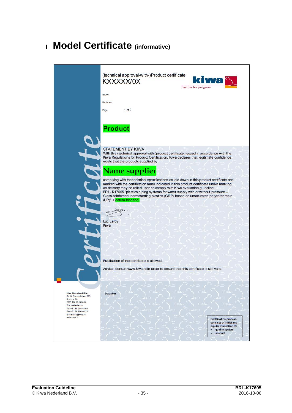## **<sup>I</sup> Model Certificate (informative)**

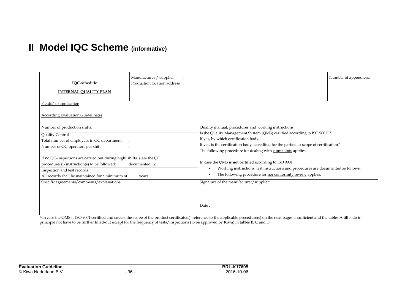## **II Model IQC Scheme (informative)**

| IQC-schedule                                                                                                                                                                                             | Manufacturer / supplier<br>Production location address : |                                                                                                                                                                                                                                                                                                                                                  | Number of appendices: |
|----------------------------------------------------------------------------------------------------------------------------------------------------------------------------------------------------------|----------------------------------------------------------|--------------------------------------------------------------------------------------------------------------------------------------------------------------------------------------------------------------------------------------------------------------------------------------------------------------------------------------------------|-----------------------|
| <b>INTERNAL QUALITY PLAN</b>                                                                                                                                                                             |                                                          |                                                                                                                                                                                                                                                                                                                                                  |                       |
| Field(s) of application<br><b>According Evaluation Guideline(s)</b>                                                                                                                                      |                                                          |                                                                                                                                                                                                                                                                                                                                                  |                       |
| Number of production shifts:<br>Quality Control<br>Total number of employees in QC department<br>Number of QC-operators per shift                                                                        |                                                          | Quality manual, procedures and working instructions<br>Is the Quality Management System (QMS) certified according to ISO 9001 <sup>1)</sup> ?<br>If yes, by which certification body:<br>If yes, is the certification body accredited for the particular scope of certification?<br>The following procedure for dealing with complaints applies: |                       |
| If no QC-inspections are carried out during night shifts, state the QC<br>procedure(s)/instruction(s) to be followed:<br>Inspection and test records<br>All records shall be maintained for a minimum of | , documented in:<br>years.                               | In case the QMS is <b>not</b> certified according to ISO 9001:<br>Working instructions, test instructions and procedures are documented as follows:<br>$\bullet$<br>The following procedure for <b>nonconformity</b> review applies:<br>$\bullet$                                                                                                |                       |
| Specific agreements/comments/explanations                                                                                                                                                                |                                                          | Signature of the manufacturer/supplier:<br>Date:                                                                                                                                                                                                                                                                                                 |                       |

<sup>1)</sup> In case the QMS is ISO 9001 certified and covers the scope of the product certificate(s), reference to the applicable procedure(s) on the next pages is sufficient and the tables A till F do in principle not have to be further filled-out except for the frequency of tests/inspections (to be approved by Kiwa) in tables B, C and D.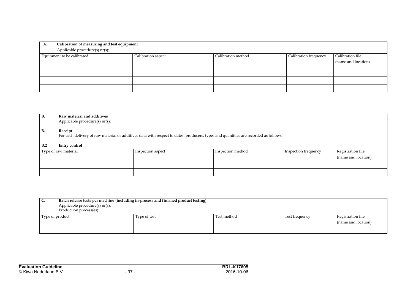| Calibration of measuring and test equipment<br>А.<br>Applicable procedure(s) nr(s):             |  |  |                  |                     |
|-------------------------------------------------------------------------------------------------|--|--|------------------|---------------------|
| Equipment to be calibrated<br>Calibration method<br>Calibration aspect<br>Calibration frequency |  |  | Calibration file |                     |
|                                                                                                 |  |  |                  | (name and location) |
|                                                                                                 |  |  |                  |                     |
|                                                                                                 |  |  |                  |                     |
|                                                                                                 |  |  |                  |                     |

| <b>B.</b>  | Raw material and additives<br>Applicable procedure(s) nr(s):                                                                                   |                   |                   |                      |                     |  |
|------------|------------------------------------------------------------------------------------------------------------------------------------------------|-------------------|-------------------|----------------------|---------------------|--|
| <b>B.1</b> | Receipt<br>For each delivery of raw material or additives data with respect to dates, producers, types and quantities are recorded as follows: |                   |                   |                      |                     |  |
| B.2        | Entry control                                                                                                                                  |                   |                   |                      |                     |  |
|            | Type of raw material                                                                                                                           | Inspection aspect | Inspection method | Inspection frequency | Registration file   |  |
|            |                                                                                                                                                |                   |                   |                      | (name and location) |  |
|            |                                                                                                                                                |                   |                   |                      |                     |  |
|            |                                                                                                                                                |                   |                   |                      |                     |  |

| Batch release tests per machine (including in-process and finished product testing)<br>I C.<br>Applicable procedure(s) nr(s):<br>Production process(es): |              |             |                |                                          |
|----------------------------------------------------------------------------------------------------------------------------------------------------------|--------------|-------------|----------------|------------------------------------------|
| Type of product                                                                                                                                          | Type of test | Test method | Test frequency | Registration file<br>(name and location) |
|                                                                                                                                                          |              |             |                |                                          |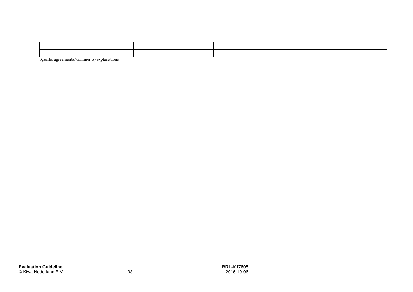Specific agreements/comments/explanations: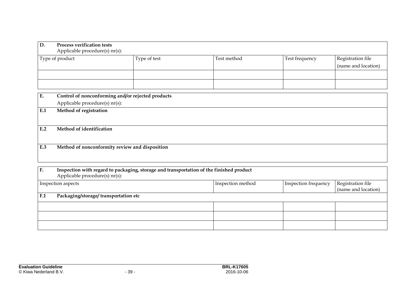| D.  | <b>Process verification tests</b><br>Applicable procedure(s) nr(s):                                                       |              |                   |                      |                                          |  |
|-----|---------------------------------------------------------------------------------------------------------------------------|--------------|-------------------|----------------------|------------------------------------------|--|
|     | Type of product                                                                                                           | Type of test | Test method       | Test frequency       | Registration file<br>(name and location) |  |
|     |                                                                                                                           |              |                   |                      |                                          |  |
| E.  | Control of nonconforming and/or rejected products<br>Applicable procedure(s) nr(s):                                       |              |                   |                      |                                          |  |
| E.1 | Method of registration                                                                                                    |              |                   |                      |                                          |  |
| E.2 | Method of identification                                                                                                  |              |                   |                      |                                          |  |
| E.3 | Method of nonconformity review and disposition                                                                            |              |                   |                      |                                          |  |
| F.  | Inspection with regard to packaging, storage and transportation of the finished product<br>Applicable procedure(s) nr(s): |              |                   |                      |                                          |  |
|     | Inspection aspects                                                                                                        |              | Inspection method | Inspection frequency | Registration file<br>(name and location) |  |
| F.1 | Packaging/storage/ transportation etc                                                                                     |              |                   |                      |                                          |  |
|     |                                                                                                                           |              |                   |                      |                                          |  |
|     |                                                                                                                           |              |                   |                      |                                          |  |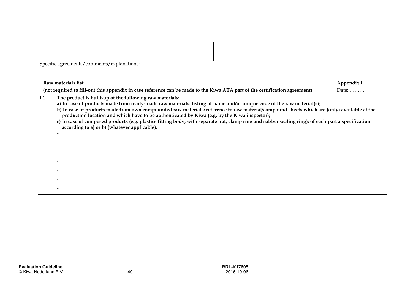Specific agreements/comments/explanations:

|     | Raw materials list                                                                                                                                                                                                                                                                                                                                                                                                                                                                                                                                                                                                                  | Appendix I    |
|-----|-------------------------------------------------------------------------------------------------------------------------------------------------------------------------------------------------------------------------------------------------------------------------------------------------------------------------------------------------------------------------------------------------------------------------------------------------------------------------------------------------------------------------------------------------------------------------------------------------------------------------------------|---------------|
|     | (not required to fill-out this appendix in case reference can be made to the Kiwa ATA part of the certification agreement)                                                                                                                                                                                                                                                                                                                                                                                                                                                                                                          | Date: $\dots$ |
| I.1 | The product is built-up of the following raw materials:<br>a) In case of products made from ready-made raw materials: listing of name and/or unique code of the raw material(s);<br>b) In case of products made from own compounded raw materials: reference to raw material/compound sheets which are (only) available at the<br>production location and which have to be authenticated by Kiwa (e.g. by the Kiwa inspector);<br>c) In case of composed products (e.g. plastics fitting body, with separate nut, clamp ring and rubber sealing ring): of each part a specification<br>according to a) or b) (whatever applicable). |               |
|     |                                                                                                                                                                                                                                                                                                                                                                                                                                                                                                                                                                                                                                     |               |
|     |                                                                                                                                                                                                                                                                                                                                                                                                                                                                                                                                                                                                                                     |               |
|     |                                                                                                                                                                                                                                                                                                                                                                                                                                                                                                                                                                                                                                     |               |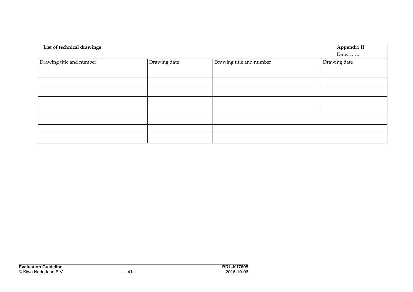| List of technical drawings |              |                          | Appendix II  |
|----------------------------|--------------|--------------------------|--------------|
|                            |              |                          | Date:        |
| Drawing title and number   | Drawing date | Drawing title and number | Drawing date |
|                            |              |                          |              |
|                            |              |                          |              |
|                            |              |                          |              |
|                            |              |                          |              |
|                            |              |                          |              |
|                            |              |                          |              |
|                            |              |                          |              |
|                            |              |                          |              |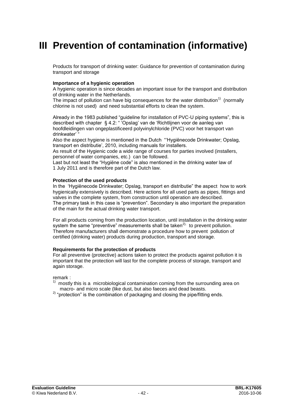## **III Prevention of contamination (informative)**

Products for transport of drinking water: Guidance for prevention of contamination during transport and storage

#### **Importance of a hygienic operation**

A hygienic operation is since decades an important issue for the transport and distribution of drinking water in the Netherlands.

The impact of pollution can have big consequences for the water distribution<sup>1)</sup> (normally chlorine is not used) and need substantial efforts to clean the system.

Already in the 1983 published "guideline for installation of PVC-U piping systems", this is described with chapter § 4.2: " 'Opslag' van de 'Richtlijnen voor de aanleg van hoofdleidingen van ongeplastificeerd polyvinylchloride (PVC) voor het transport van drinkwater' "

Also the aspect hygiene is mentioned in the Dutch "'Hygiënecode Drinkwater; Opslag, transport en distributie', 2010, including manuals for installers.

As result of the Hygienic code a wide range of courses for parties involved (installers, personnel of water companies, etc.) can be followed.

Last but not least the "Hygiëne code" is also mentioned in the drinking water law of 1 July 2011 and is therefore part of the Dutch law.

#### **Protection of the used products**

In the 'Hygiënecode Drinkwater; Opslag, transport en distributie" the aspect how to work hygienically extensively is described. Here actions for all used parts as pipes, fittings and valves in the complete system, from construction until operation are described. The primary task in this case is "prevention". Secondary is also important the preparation of the main for the actual drinking water transport.

For all products coming from the production location, until installation in the drinking water system the same "preventive" measurements shall be taken<sup>2),</sup> to prevent pollution. Therefore manufacturers shall demonstrate a procedure how to prevent pollution of certified (drinking water) products during production, transport and storage.

#### **Requirements for the protection of products**

For all preventive (protective) actions taken to protect the products against pollution it is important that the protection will last for the complete process of storage, transport and again storage.

remark :

- 1) mostly this is a microbiological contamination coming from the surrounding area on macro- and micro scale (like dust, but also faeces and dead beasts.
- $2)$  "protection" is the combination of packaging and closing the pipe/fitting ends.